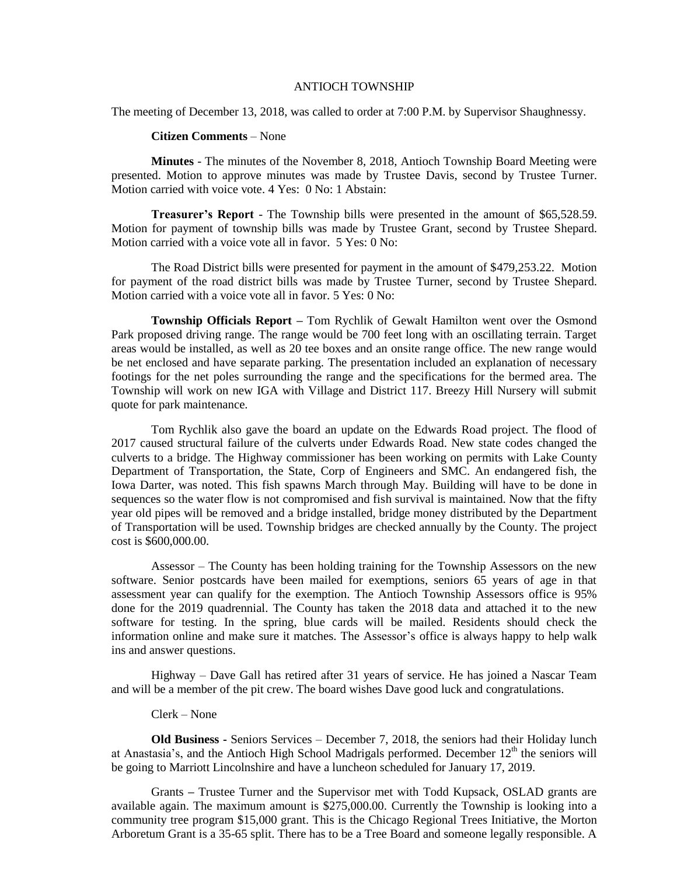## ANTIOCH TOWNSHIP

The meeting of December 13, 2018, was called to order at 7:00 P.M. by Supervisor Shaughnessy.

## **Citizen Comments** – None

**Minutes** - The minutes of the November 8, 2018, Antioch Township Board Meeting were presented. Motion to approve minutes was made by Trustee Davis, second by Trustee Turner. Motion carried with voice vote. 4 Yes: 0 No: 1 Abstain:

**Treasurer's Report** - The Township bills were presented in the amount of \$65,528.59. Motion for payment of township bills was made by Trustee Grant, second by Trustee Shepard. Motion carried with a voice vote all in favor. 5 Yes: 0 No:

The Road District bills were presented for payment in the amount of \$479,253.22. Motion for payment of the road district bills was made by Trustee Turner, second by Trustee Shepard. Motion carried with a voice vote all in favor. 5 Yes: 0 No:

**Township Officials Report –** Tom Rychlik of Gewalt Hamilton went over the Osmond Park proposed driving range. The range would be 700 feet long with an oscillating terrain. Target areas would be installed, as well as 20 tee boxes and an onsite range office. The new range would be net enclosed and have separate parking. The presentation included an explanation of necessary footings for the net poles surrounding the range and the specifications for the bermed area. The Township will work on new IGA with Village and District 117. Breezy Hill Nursery will submit quote for park maintenance.

Tom Rychlik also gave the board an update on the Edwards Road project. The flood of 2017 caused structural failure of the culverts under Edwards Road. New state codes changed the culverts to a bridge. The Highway commissioner has been working on permits with Lake County Department of Transportation, the State, Corp of Engineers and SMC. An endangered fish, the Iowa Darter, was noted. This fish spawns March through May. Building will have to be done in sequences so the water flow is not compromised and fish survival is maintained. Now that the fifty year old pipes will be removed and a bridge installed, bridge money distributed by the Department of Transportation will be used. Township bridges are checked annually by the County. The project cost is \$600,000.00.

Assessor – The County has been holding training for the Township Assessors on the new software. Senior postcards have been mailed for exemptions, seniors 65 years of age in that assessment year can qualify for the exemption. The Antioch Township Assessors office is 95% done for the 2019 quadrennial. The County has taken the 2018 data and attached it to the new software for testing. In the spring, blue cards will be mailed. Residents should check the information online and make sure it matches. The Assessor's office is always happy to help walk ins and answer questions.

Highway – Dave Gall has retired after 31 years of service. He has joined a Nascar Team and will be a member of the pit crew. The board wishes Dave good luck and congratulations.

## Clerk – None

**Old Business -** Seniors Services – December 7, 2018, the seniors had their Holiday lunch at Anastasia's, and the Antioch High School Madrigals performed. December  $12<sup>th</sup>$  the seniors will be going to Marriott Lincolnshire and have a luncheon scheduled for January 17, 2019.

Grants **–** Trustee Turner and the Supervisor met with Todd Kupsack, OSLAD grants are available again. The maximum amount is \$275,000.00. Currently the Township is looking into a community tree program \$15,000 grant. This is the Chicago Regional Trees Initiative, the Morton Arboretum Grant is a 35-65 split. There has to be a Tree Board and someone legally responsible. A